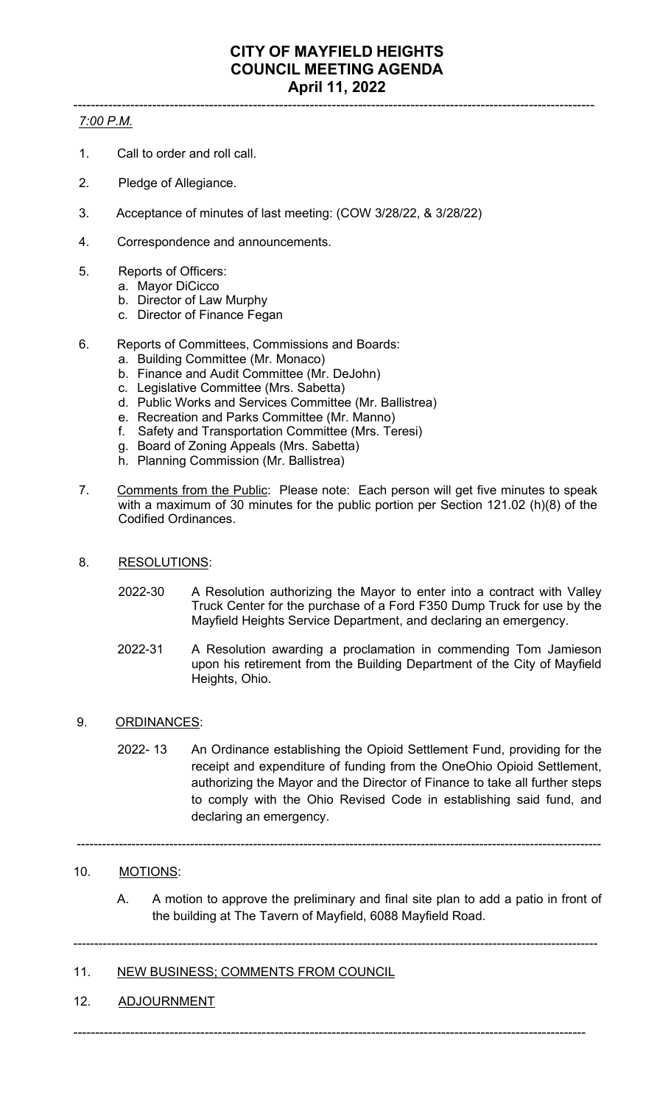#### ----------------------------------------------------------------------------------------------------------------------- *7:00 P.M.*

- 1. Call to order and roll call.
- 2. Pledge of Allegiance.
- 3. Acceptance of minutes of last meeting: (COW 3/28/22, & 3/28/22)
- 4. Correspondence and announcements.
- 5. Reports of Officers:
	- a. Mayor DiCicco
	- b. Director of Law Murphy
	- c. Director of Finance Fegan
- 6. Reports of Committees, Commissions and Boards:
	- a. Building Committee (Mr. Monaco)
	- b. Finance and Audit Committee (Mr. DeJohn)
	- c. Legislative Committee (Mrs. Sabetta)
	- d. Public Works and Services Committee (Mr. Ballistrea)
	- e. Recreation and Parks Committee (Mr. Manno)
	- f. Safety and Transportation Committee (Mrs. Teresi)
	- g. Board of Zoning Appeals (Mrs. Sabetta)
	- h. Planning Commission (Mr. Ballistrea)
- 7. Comments from the Public: Please note: Each person will get five minutes to speak with a maximum of 30 minutes for the public portion per Section 121.02 (h)(8) of the Codified Ordinances.
- 8. RESOLUTIONS:
	- 2022-30 A Resolution authorizing the Mayor to enter into a contract with Valley Truck Center for the purchase of a Ford F350 Dump Truck for use by the Mayfield Heights Service Department, and declaring an emergency.
	- 2022-31 A Resolution awarding a proclamation in commending Tom Jamieson upon his retirement from the Building Department of the City of Mayfield Heights, Ohio.
- 9. ORDINANCES:
	- 2022- 13 An Ordinance establishing the Opioid Settlement Fund, providing for the receipt and expenditure of funding from the OneOhio Opioid Settlement, authorizing the Mayor and the Director of Finance to take all further steps to comply with the Ohio Revised Code in establishing said fund, and declaring an emergency.

-----------------------------------------------------------------------------------------------------------------------------

-----------------------------------------------------------------------------------------------------------------------------

---------------------------------------------------------------------------------------------------------------------

## 10. MOTIONS:

A. A motion to approve the preliminary and final site plan to add a patio in front of the building at The Tavern of Mayfield, 6088 Mayfield Road.

## 11. NEW BUSINESS; COMMENTS FROM COUNCIL

12. ADJOURNMENT